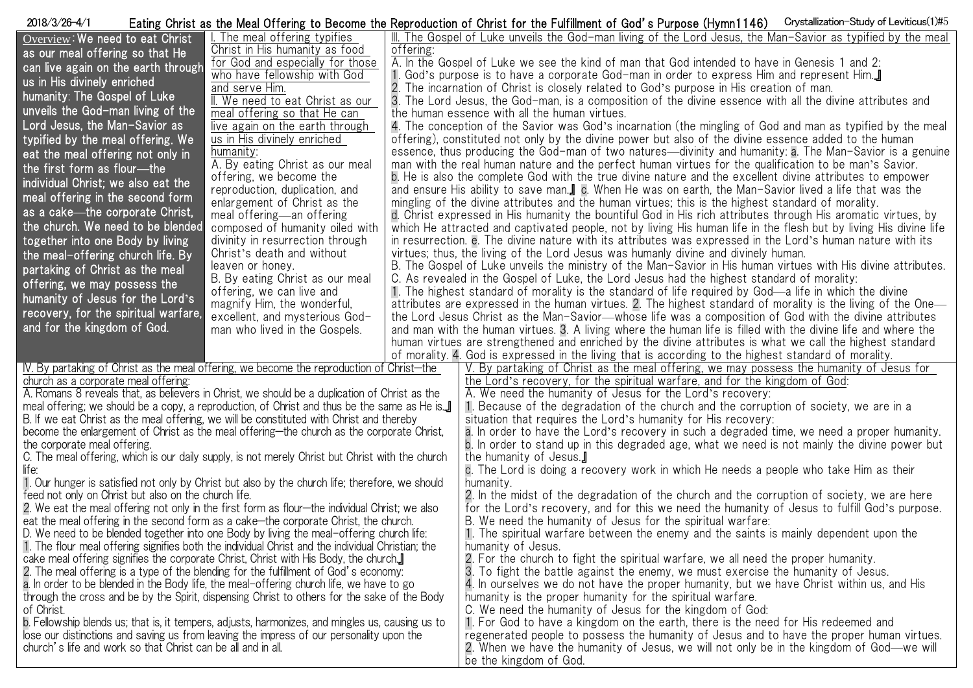| Crystallization-Study of Leviticus(1)#5<br>2018/3/26-4/1<br>Eating Christ as the Meal Offering to Become the Reproduction of Christ for the Fulfillment of God's Purpose (Hymn1146)   |                                                          |           |                                                                                                                                                                                                                        |  |  |
|---------------------------------------------------------------------------------------------------------------------------------------------------------------------------------------|----------------------------------------------------------|-----------|------------------------------------------------------------------------------------------------------------------------------------------------------------------------------------------------------------------------|--|--|
| Overview: We need to eat Christ                                                                                                                                                       | The meal offering typifies                               |           | III. The Gospel of Luke unveils the God-man living of the Lord Jesus, the Man-Savior as typified by the meal                                                                                                           |  |  |
| as our meal offering so that He                                                                                                                                                       | Christ in His humanity as food                           | offering: |                                                                                                                                                                                                                        |  |  |
| can live again on the earth through                                                                                                                                                   | for God and especially for those                         |           | A. In the Gospel of Luke we see the kind of man that God intended to have in Genesis 1 and 2:                                                                                                                          |  |  |
| us in His divinely enriched                                                                                                                                                           | who have fellowship with God                             |           | 1. God's purpose is to have a corporate God-man in order to express Him and represent Him                                                                                                                              |  |  |
|                                                                                                                                                                                       | and serve Him.                                           |           | 2. The incarnation of Christ is closely related to God's purpose in His creation of man.                                                                                                                               |  |  |
| humanity: The Gospel of Luke                                                                                                                                                          | II. We need to eat Christ as our                         |           | 3. The Lord Jesus, the God-man, is a composition of the divine essence with all the divine attributes and                                                                                                              |  |  |
| unveils the God-man living of the                                                                                                                                                     | meal offering so that He can                             |           | the human essence with all the human virtues.                                                                                                                                                                          |  |  |
| Lord Jesus, the Man-Savior as                                                                                                                                                         | live again on the earth through                          |           | 4. The conception of the Savior was God's incarnation (the mingling of God and man as typified by the meal                                                                                                             |  |  |
| typified by the meal offering. We                                                                                                                                                     | us in His divinely enriched                              |           | offering), constituted not only by the divine power but also of the divine essence added to the human                                                                                                                  |  |  |
| eat the meal offering not only in                                                                                                                                                     | humanity:                                                |           | essence, thus producing the God-man of two natures—divinity and humanity: a. The Man-Savior is a genuine                                                                                                               |  |  |
| the first form as flour---the                                                                                                                                                         | A. By eating Christ as our meal                          |           | man with the real human nature and the perfect human virtues for the qualification to be man's Savior.                                                                                                                 |  |  |
| individual Christ; we also eat the                                                                                                                                                    | offering, we become the                                  |           | b. He is also the complete God with the true divine nature and the excellent divine attributes to empower                                                                                                              |  |  |
| meal offering in the second form                                                                                                                                                      | reproduction, duplication, and                           |           | and ensure His ability to save man.] c. When He was on earth, the Man-Savior lived a life that was the                                                                                                                 |  |  |
| as a cake—the corporate Christ,                                                                                                                                                       | enlargement of Christ as the                             |           | mingling of the divine attributes and the human virtues; this is the highest standard of morality.                                                                                                                     |  |  |
|                                                                                                                                                                                       | meal offering—an offering                                |           | d. Christ expressed in His humanity the bountiful God in His rich attributes through His aromatic virtues, by                                                                                                          |  |  |
| the church. We need to be blended                                                                                                                                                     | composed of humanity oiled with                          |           | which He attracted and captivated people, not by living His human life in the flesh but by living His divine life                                                                                                      |  |  |
| together into one Body by living                                                                                                                                                      | divinity in resurrection through                         |           | in resurrection, e. The divine nature with its attributes was expressed in the Lord's human nature with its                                                                                                            |  |  |
| the meal-offering church life. By                                                                                                                                                     | Christ's death and without                               |           | virtues; thus, the living of the Lord Jesus was humanly divine and divinely human.                                                                                                                                     |  |  |
| partaking of Christ as the meal                                                                                                                                                       | leaven or honey.                                         |           | B. The Gospel of Luke unveils the ministry of the Man-Savior in His human virtues with His divine attributes.                                                                                                          |  |  |
| offering, we may possess the                                                                                                                                                          | B. By eating Christ as our meal                          |           | C. As revealed in the Gospel of Luke, the Lord Jesus had the highest standard of morality:                                                                                                                             |  |  |
| humanity of Jesus for the Lord's                                                                                                                                                      | offering, we can live and<br>magnify Him, the wonderful, |           | 1. The highest standard of morality is the standard of life required by God—a life in which the divine<br>attributes are expressed in the human virtues. 2. The highest standard of morality is the living of the One— |  |  |
| recovery, for the spiritual warfare,                                                                                                                                                  | excellent, and mysterious God-                           |           | the Lord Jesus Christ as the Man-Savior-whose life was a composition of God with the divine attributes                                                                                                                 |  |  |
| and for the kingdom of God.                                                                                                                                                           | man who lived in the Gospels.                            |           | and man with the human virtues. 3. A living where the human life is filled with the divine life and where the                                                                                                          |  |  |
|                                                                                                                                                                                       |                                                          |           | human virtues are strengthened and enriched by the divine attributes is what we call the highest standard                                                                                                              |  |  |
|                                                                                                                                                                                       |                                                          |           | of morality. 4. God is expressed in the living that is according to the highest standard of morality.                                                                                                                  |  |  |
|                                                                                                                                                                                       |                                                          |           | V. By partaking of Christ as the meal offering, we may possess the humanity of Jesus for                                                                                                                               |  |  |
| IV. By partaking of Christ as the meal offering, we become the reproduction of Christ-the<br>church as a corporate meal offering:                                                     |                                                          |           | the Lord's recovery, for the spiritual warfare, and for the kingdom of God:                                                                                                                                            |  |  |
| A. Romans 8 reveals that, as believers in Christ, we should be a duplication of Christ as the                                                                                         |                                                          |           | A. We need the humanity of Jesus for the Lord's recovery:                                                                                                                                                              |  |  |
| meal offering; we should be a copy, a reproduction, of Christ and thus be the same as He is.                                                                                          |                                                          |           | 1. Because of the degradation of the church and the corruption of society, we are in a                                                                                                                                 |  |  |
|                                                                                                                                                                                       |                                                          |           | situation that requires the Lord's humanity for His recovery:                                                                                                                                                          |  |  |
| B. If we eat Christ as the meal offering, we will be constituted with Christ and thereby<br>become the enlargement of Christ as the meal offering-the church as the corporate Christ, |                                                          |           | a. In order to have the Lord's recovery in such a degraded time, we need a proper humanity.                                                                                                                            |  |  |
| the corporate meal offering.                                                                                                                                                          |                                                          |           | b. In order to stand up in this degraded age, what we need is not mainly the divine power but                                                                                                                          |  |  |
| C. The meal offering, which is our daily supply, is not merely Christ but Christ with the church                                                                                      |                                                          |           | the humanity of Jesus.                                                                                                                                                                                                 |  |  |
| life:                                                                                                                                                                                 |                                                          |           | c. The Lord is doing a recovery work in which He needs a people who take Him as their                                                                                                                                  |  |  |
| 1. Our hunger is satisfied not only by Christ but also by the church life; therefore, we should                                                                                       |                                                          |           | humanity.                                                                                                                                                                                                              |  |  |
| feed not only on Christ but also on the church life.                                                                                                                                  |                                                          |           | 2. In the midst of the degradation of the church and the corruption of society, we are here                                                                                                                            |  |  |
| 2. We eat the meal offering not only in the first form as flour—the individual Christ; we also                                                                                        |                                                          |           | for the Lord's recovery, and for this we need the humanity of Jesus to fulfill God's purpose.                                                                                                                          |  |  |
| eat the meal offering in the second form as a cake—the corporate Christ, the church.                                                                                                  |                                                          |           | B. We need the humanity of Jesus for the spiritual warfare:                                                                                                                                                            |  |  |
| D. We need to be blended together into one Body by living the meal-offering church life:                                                                                              |                                                          |           | 1. The spiritual warfare between the enemy and the saints is mainly dependent upon the                                                                                                                                 |  |  |
| 1. The flour meal offering signifies both the individual Christ and the individual Christian; the                                                                                     |                                                          |           | humanity of Jesus.                                                                                                                                                                                                     |  |  |
| cake meal offering signifies the corporate Christ, Christ with His Body, the church.                                                                                                  |                                                          |           | 2. For the church to fight the spiritual warfare, we all need the proper humanity.                                                                                                                                     |  |  |
| 2. The meal offering is a type of the blending for the fulfillment of God's economy:                                                                                                  |                                                          |           | 3. To fight the battle against the enemy, we must exercise the humanity of Jesus.                                                                                                                                      |  |  |
| a. In order to be blended in the Body life, the meal-offering church life, we have to go                                                                                              |                                                          |           | 4. In ourselves we do not have the proper humanity, but we have Christ within us, and His                                                                                                                              |  |  |
| through the cross and be by the Spirit, dispensing Christ to others for the sake of the Body                                                                                          |                                                          |           | humanity is the proper humanity for the spiritual warfare.                                                                                                                                                             |  |  |
| of Christ.                                                                                                                                                                            |                                                          |           | C. We need the humanity of Jesus for the kingdom of God:                                                                                                                                                               |  |  |
| b. Fellowship blends us; that is, it tempers, adjusts, harmonizes, and mingles us, causing us to                                                                                      |                                                          |           | 1. For God to have a kingdom on the earth, there is the need for His redeemed and                                                                                                                                      |  |  |
| lose our distinctions and saving us from leaving the impress of our personality upon the                                                                                              |                                                          |           | regenerated people to possess the humanity of Jesus and to have the proper human virtues.                                                                                                                              |  |  |
| church's life and work so that Christ can be all and in all.                                                                                                                          |                                                          |           | 2. When we have the humanity of Jesus, we will not only be in the kingdom of God—we will                                                                                                                               |  |  |
|                                                                                                                                                                                       |                                                          |           | be the kingdom of God.                                                                                                                                                                                                 |  |  |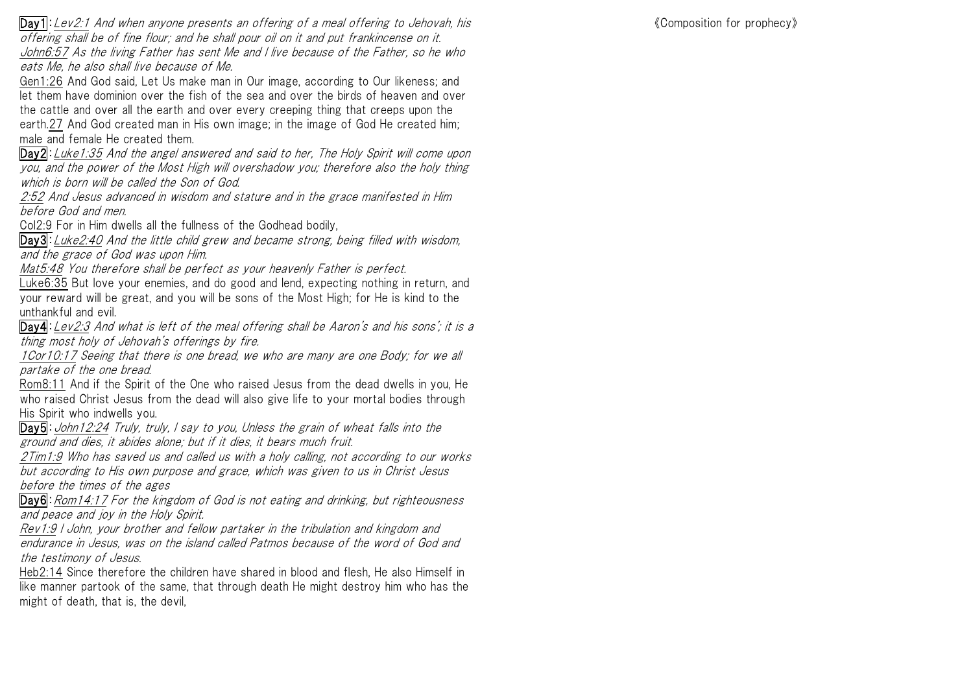Day1:Lev2:1 And when anyone presents an offering of a meal offering to Jehovah, his offering shall be of fine flour; and he shall pour oil on it and put frankincense on it. John6:57 As the living Father has sent Me and I live because of the Father, so he who eats Me, he also shall live because of Me.

Gen1:26 And God said, Let Us make man in Our image, according to Our likeness; and let them have dominion over the fish of the sea and over the birds of heaven and over the cattle and over all the earth and over every creeping thing that creeps upon the earth.27 And God created man in His own image; in the image of God He created him; male and female He created them.

Day2:Luke1:35 And the angel answered and said to her, The Holy Spirit will come upon you, and the power of the Most High will overshadow you; therefore also the holy thing which is born will be called the Son of God.

2:52 And Jesus advanced in wisdom and stature and in the grace manifested in Him before God and men.

Col2:9 For in Him dwells all the fullness of the Godhead bodily,

Day3:Luke2:40 And the little child grew and became strong, being filled with wisdom, and the grace of God was upon Him.

Mat5:48 You therefore shall be perfect as your heavenly Father is perfect.

Luke6:35 But love your enemies, and do good and lend, expecting nothing in return, and your reward will be great, and you will be sons of the Most High; for He is kind to the unthankful and evil.

Day4:Lev2:3 And what is left of the meal offering shall be Aaron's and his sons'; it is a thing most holy of Jehovah's offerings by fire.

1Cor10:17 Seeing that there is one bread, we who are many are one Body; for we all partake of the one bread.

Rom8:11 And if the Spirit of the One who raised Jesus from the dead dwells in you, He who raised Christ Jesus from the dead will also give life to your mortal bodies through His Spirit who indwells you.

Day5: John12:24 Truly, truly, I say to you, Unless the grain of wheat falls into the ground and dies, it abides alone; but if it dies, it bears much fruit.

2Tim1:9 Who has saved us and called us with a holy calling, not according to our works but according to His own purpose and grace, which was given to us in Christ Jesus before the times of the ages

Day6: Rom14:17 For the kingdom of God is not eating and drinking, but righteousness and peace and joy in the Holy Spirit.

Rev1:9 I John, your brother and fellow partaker in the tribulation and kingdom and endurance in Jesus, was on the island called Patmos because of the word of God and the testimony of Jesus.

Heb2:14 Since therefore the children have shared in blood and flesh, He also Himself in like manner partook of the same, that through death He might destroy him who has the might of death, that is, the devil,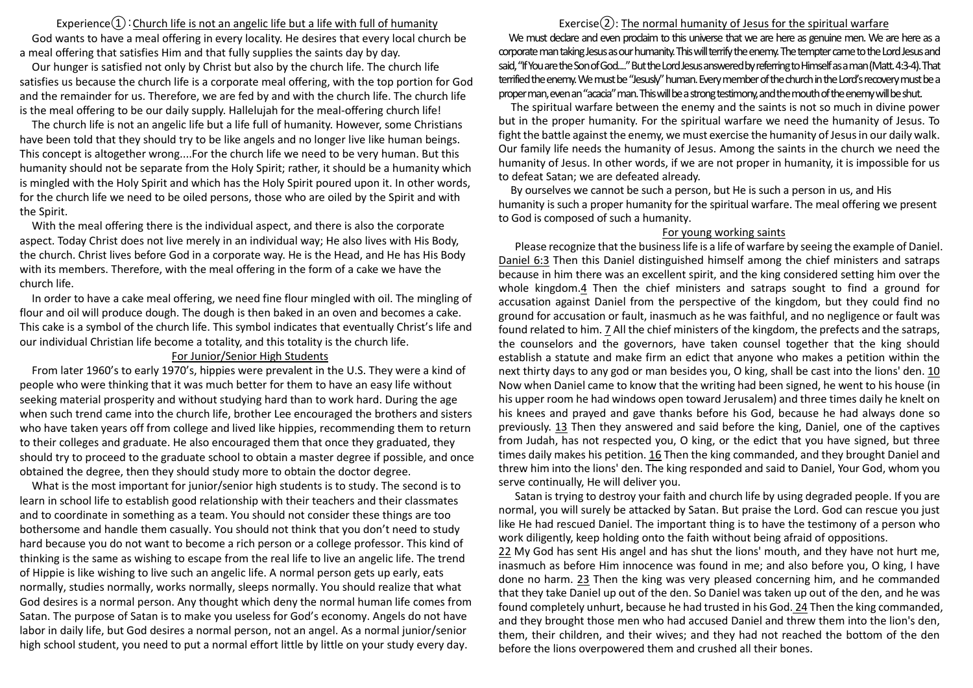Experience $(i)$ : Church life is not an angelic life but a life with full of humanity God wants to have a meal offering in every locality. He desires that every local church be a meal offering that satisfies Him and that fully supplies the saints day by day.

Our hunger is satisfied not only by Christ but also by the church life. The church life satisfies us because the church life is a corporate meal offering, with the top portion for God and the remainder for us. Therefore, we are fed by and with the church life. The church life is the meal offering to be our daily supply. Hallelujah for the meal-offering church life!

The church life is not an angelic life but a life full of humanity. However, some Christians have been told that they should try to be like angels and no longer live like human beings. This concept is altogether wrong....For the church life we need to be very human. But this humanity should not be separate from the Holy Spirit; rather, it should be a humanity which is mingled with the Holy Spirit and which has the Holy Spirit poured upon it. In other words, for the church life we need to be oiled persons, those who are oiled by the Spirit and with the Spirit.

With the meal offering there is the individual aspect, and there is also the corporate aspect. Today Christ does not live merely in an individual way; He also lives with His Body, the church. Christ lives before God in a corporate way. He is the Head, and He has His Body with its members. Therefore, with the meal offering in the form of a cake we have the church life.

In order to have a cake meal offering, we need fine flour mingled with oil. The mingling of flour and oil will produce dough. The dough is then baked in an oven and becomes a cake. This cake is a symbol of the church life. This symbol indicates that eventually Christ's life and our individual Christian life become a totality, and this totality is the church life.

## For Junior/Senior High Students

From later 1960's to early 1970's, hippies were prevalent in the U.S. They were a kind of people who were thinking that it was much better for them to have an easy life without seeking material prosperity and without studying hard than to work hard. During the age when such trend came into the church life, brother Lee encouraged the brothers and sisters who have taken years off from college and lived like hippies, recommending them to return to their colleges and graduate. He also encouraged them that once they graduated, they should try to proceed to the graduate school to obtain a master degree if possible, and once obtained the degree, then they should study more to obtain the doctor degree.

What is the most important for junior/senior high students is to study. The second is to learn in school life to establish good relationship with their teachers and their classmates and to coordinate in something as a team. You should not consider these things are too bothersome and handle them casually. You should not think that you don't need to study hard because you do not want to become a rich person or a college professor. This kind of thinking is the same as wishing to escape from the real life to live an angelic life. The trend of Hippie is like wishing to live such an angelic life. A normal person gets up early, eats normally, studies normally, works normally, sleeps normally. You should realize that what God desires is a normal person. Any thought which deny the normal human life comes from Satan. The purpose of Satan is to make you useless for God's economy. Angels do not have labor in daily life, but God desires a normal person, not an angel. As a normal junior/senior high school student, you need to put a normal effort little by little on your study every day.

## Exercise $(2)$ : The normal humanity of Jesus for the spiritual warfare

We must declare and even prodaim to this universe that we are here as genuine men. We are here as a corporate man taking Jesus as our humanity. This will terrify the enemy. The tempter came to the Lord Jesus and said, "If You are the Son of God...." But the Lord Jesus answered by referring to Himself as a man (Matt. 4:3-4). That terrified the enemy. We must be "Jesusly" human. Every member of the church in the Lord's recovery must be a proper man, even an "acacia" man. This will be a strong testimony, and the mouth of the enemy will be shut.

The spiritual warfare between the enemy and the saints is not so much in divine power but in the proper humanity. For the spiritual warfare we need the humanity of Jesus. To fight the battle against the enemy, we must exercise the humanity of Jesus in our daily walk. Our family life needs the humanity of Jesus. Among the saints in the church we need the humanity of Jesus. In other words, if we are not proper in humanity, it is impossible for us to defeat Satan; we are defeated already.

By ourselves we cannot be such a person, but He is such a person in us, and His humanity is such a proper humanity for the spiritual warfare. The meal offering we present to God is composed of such a humanity.

## For young working saints

Please recognize that the business life is a life of warfare by seeing the example of Daniel. Daniel 6:3 Then this Daniel distinguished himself among the chief ministers and satraps because in him there was an excellent spirit, and the king considered setting him over the whole kingdom.4 Then the chief ministers and satraps sought to find a ground for accusation against Daniel from the perspective of the kingdom, but they could find no ground for accusation or fault, inasmuch as he was faithful, and no negligence or fault was found related to him. 7 All the chief ministers of the kingdom, the prefects and the satraps, the counselors and the governors, have taken counsel together that the king should establish a statute and make firm an edict that anyone who makes a petition within the next thirty days to any god or man besides you, O king, shall be cast into the lions' den. 10 Now when Daniel came to know that the writing had been signed, he went to his house (in his upper room he had windows open toward Jerusalem) and three times daily he knelt on his knees and prayed and gave thanks before his God, because he had always done so previously. 13 Then they answered and said before the king, Daniel, one of the captives from Judah, has not respected you, O king, or the edict that you have signed, but three times daily makes his petition. 16 Then the king commanded, and they brought Daniel and threw him into the lions' den. The king responded and said to Daniel, Your God, whom you serve continually, He will deliver you.

Satan is trying to destroy your faith and church life by using degraded people. If you are normal, you will surely be attacked by Satan. But praise the Lord. God can rescue you just like He had rescued Daniel. The important thing is to have the testimony of a person who work diligently, keep holding onto the faith without being afraid of oppositions.

22 My God has sent His angel and has shut the lions' mouth, and they have not hurt me, inasmuch as before Him innocence was found in me; and also before you, O king, I have done no harm. 23 Then the king was very pleased concerning him, and he commanded that they take Daniel up out of the den. So Daniel was taken up out of the den, and he was found completely unhurt, because he had trusted in his God. 24 Then the king commanded, and they brought those men who had accused Daniel and threw them into the lion's den, them, their children, and their wives; and they had not reached the bottom of the den before the lions overpowered them and crushed all their bones.